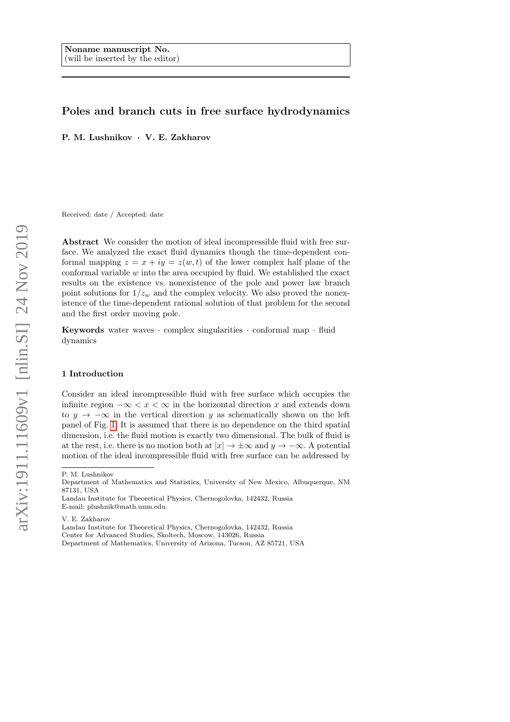# Poles and branch cuts in free surface hydrodynamics

P. M. Lushnikov · V. E. Zakharov

Received: date / Accepted: date

Abstract We consider the motion of ideal incompressible fluid with free surface. We analyzed the exact fluid dynamics though the time-dependent conformal mapping  $z = x + iy = z(w, t)$  of the lower complex half plane of the conformal variable  $w$  into the area occupied by fluid. We established the exact results on the existence vs. nonexistence of the pole and power law branch point solutions for  $1/z_w$  and the complex velocity. We also proved the nonexistence of the time-dependent rational solution of that problem for the second and the first order moving pole.

Keywords water waves · complex singularities · conformal map · fluid dynamics

## <span id="page-0-0"></span>1 Introduction

Consider an ideal incompressible fluid with free surface which occupies the infinite region  $-\infty < x < \infty$  in the horizontal direction x and extends down to  $y \to -\infty$  in the vertical direction y as schematically shown on the left panel of Fig. [1.](#page-1-0) It is assumed that there is no dependence on the third spatial dimension, i.e. the fluid motion is exactly two dimensional. The bulk of fluid is at the rest, i.e. there is no motion both at  $|x| \to \pm \infty$  and  $y \to -\infty$ . A potential motion of the ideal incompressible fluid with free surface can be addressed by

V. E. Zakharov

Landau Institute for Theoretical Physics, Chernogolovka, 142432, Russia Center for Advanced Studies, Skoltech, Moscow, 143026, Russia Department of Mathematics, University of Arizona, Tucson, AZ 85721, USA

P. M. Lushnikov

Department of Mathematics and Statistics, University of New Mexico, Albuquerque, NM 87131, USA

Landau Institute for Theoretical Physics, Chernogolovka, 142432, Russia E-mail: plushnik@math.unm.edu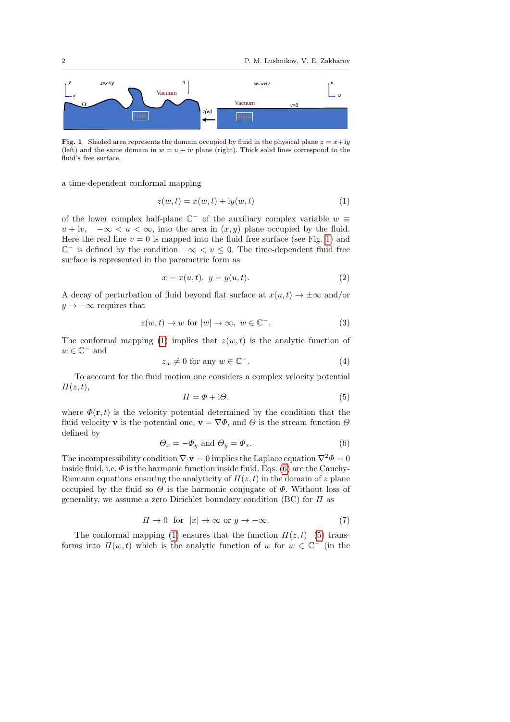

<span id="page-1-0"></span>Fig. 1 Shaded area represents the domain occupied by fluid in the physical plane  $z = x+iy$ (left) and the same domain in  $w = u + iv$  plane (right). Thick solid lines correspond to the fluid's free surface.

a time-dependent conformal mapping

<span id="page-1-1"></span>
$$
z(w,t) = x(w,t) + iy(w,t)
$$
\n<sup>(1)</sup>

of the lower complex half-plane  $\mathbb{C}^-$  of the auxiliary complex variable  $w \equiv$  $u + iv$ ,  $-\infty < u < \infty$ , into the area in  $(x, y)$  plane occupied by the fluid. Here the real line  $v = 0$  is mapped into the fluid free surface (see Fig. [1\)](#page-1-0) and  $\mathbb{C}^-$  is defined by the condition  $-\infty < v \leq 0$ . The time-dependent fluid free surface is represented in the parametric form as

<span id="page-1-4"></span>
$$
x = x(u, t), \ y = y(u, t). \tag{2}
$$

A decay of perturbation of fluid beyond flat surface at  $x(u, t) \rightarrow \pm \infty$  and/or  $y \rightarrow -\infty$  requires that

<span id="page-1-5"></span>
$$
z(w,t) \to w \text{ for } |w| \to \infty, \ w \in \mathbb{C}^-.
$$
 (3)

The conformal mapping [\(1\)](#page-1-1) implies that  $z(w, t)$  is the analytic function of  $w \in \mathbb{C}^-$  and

<span id="page-1-7"></span>
$$
z_w \neq 0 \text{ for any } w \in \mathbb{C}^-.
$$
 (4)

To account for the fluid motion one considers a complex velocity potential  $\Pi(z,t),$ 

<span id="page-1-3"></span>
$$
\Pi = \Phi + i\Theta. \tag{5}
$$

where  $\Phi(\mathbf{r},t)$  is the velocity potential determined by the condition that the fluid velocity **v** is the potential one,  $\mathbf{v} = \nabla \Phi$ , and  $\Theta$  is the stream function  $\Theta$ defined by

<span id="page-1-2"></span>
$$
\Theta_x = -\Phi_y \text{ and } \Theta_y = \Phi_x. \tag{6}
$$

The incompressibility condition  $\nabla \cdot \mathbf{v} = 0$  implies the Laplace equation  $\nabla^2 \Phi = 0$ inside fluid, i.e.  $\Phi$  is the harmonic function inside fluid. Eqs. [\(6\)](#page-1-2) are the Cauchy-Riemann equations ensuring the analyticity of  $\Pi(z, t)$  in the domain of z plane occupied by the fluid so  $\Theta$  is the harmonic conjugate of  $\Phi$ . Without loss of generality, we assume a zero Dirichlet boundary condition (BC) for  $\Pi$  as

<span id="page-1-6"></span>
$$
\Pi \to 0 \quad \text{for} \quad |x| \to \infty \text{ or } y \to -\infty. \tag{7}
$$

The conformal mapping [\(1\)](#page-1-1) ensures that the function  $\Pi(z,t)$  [\(5\)](#page-1-3) transforms into  $\Pi(w,t)$  which is the analytic function of w for  $w \in \mathbb{C}^-$  (in the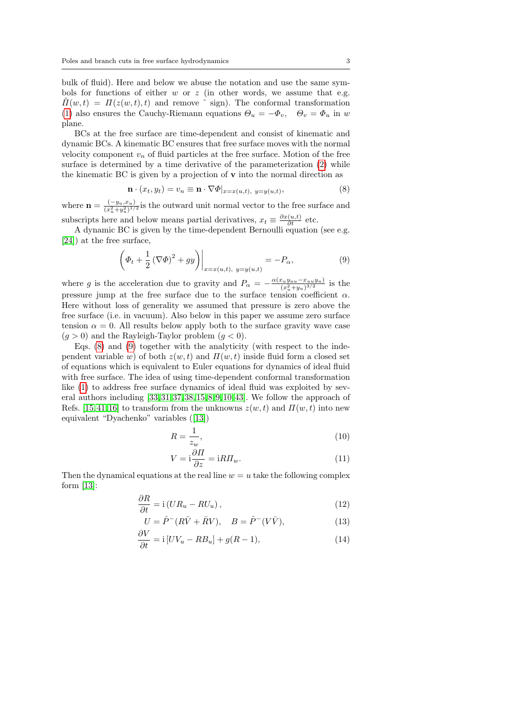bulk of fluid). Here and below we abuse the notation and use the same symbols for functions of either  $w$  or  $z$  (in other words, we assume that e.g.  $\Pi(w, t) = \Pi(z(w, t), t)$  and remove  $\tilde{\ }$  sign). The conformal transformation [\(1\)](#page-1-1) also ensures the Cauchy-Riemann equations  $\Theta_u = -\Phi_v$ ,  $\Theta_v = \Phi_u$  in w plane.

BCs at the free surface are time-dependent and consist of kinematic and dynamic BCs. A kinematic BC ensures that free surface moves with the normal velocity component  $v_n$  of fluid particles at the free surface. Motion of the free surface is determined by a time derivative of the parameterization [\(2\)](#page-1-4) while the kinematic BC is given by a projection of  $\bf{v}$  into the normal direction as

<span id="page-2-0"></span>
$$
\mathbf{n} \cdot (x_t, y_t) = v_n \equiv \mathbf{n} \cdot \nabla \Phi|_{x = x(u,t), y = y(u,t)},
$$
\n(8)

where  $\mathbf{n} = \frac{(-y_u, x_u)}{(x^2 + u^2)^{1/2}}$  $\frac{(-y_u, x_u)}{(x_u^2 + y_u^2)^{1/2}}$  is the outward unit normal vector to the free surface and subscripts here and below means partial derivatives,  $x_t \equiv \frac{\partial x(u,t)}{\partial t}$  etc.

A dynamic BC is given by the time-dependent Bernoulli equation (see e.g. [\[24\]](#page-14-0)) at the free surface,

<span id="page-2-1"></span>
$$
\left(\Phi_t + \frac{1}{2} \left(\nabla \Phi\right)^2 + gy\right)\bigg|_{x=x(u,t), y=y(u,t)} = -P_\alpha,\tag{9}
$$

where g is the acceleration due to gravity and  $P_{\alpha} = -\frac{\alpha (x_uy_{uu}-x_{uu}y_u)}{(x^2+y_u)^{3/2}}$  $\frac{x_uy_{uu}-x_{uu}y_u}{(x_u^2+y_u)^{3/2}}$  is the pressure jump at the free surface due to the surface tension coefficient  $\alpha$ . Here without loss of generality we assumed that pressure is zero above the free surface (i.e. in vacuum). Also below in this paper we assume zero surface tension  $\alpha = 0$ . All results below apply both to the surface gravity wave case  $(g > 0)$  and the Rayleigh-Taylor problem  $(g < 0)$ .

Eqs.  $(8)$  and  $(9)$  together with the analyticity (with respect to the independent variable w) of both  $z(w, t)$  and  $\Pi(w, t)$  inside fluid form a closed set of equations which is equivalent to Euler equations for dynamics of ideal fluid with free surface. The idea of using time-dependent conformal transformation like [\(1\)](#page-1-1) to address free surface dynamics of ideal fluid was exploited by several authors including [\[33,](#page-15-0) [31,](#page-14-1) [37,](#page-15-1) [38,](#page-15-2) [15,](#page-14-2) [8,](#page-14-3) [9,](#page-14-4) [10,](#page-14-5) [43\]](#page-15-3). We follow the approach of Refs. [\[15,](#page-14-2) [41,](#page-15-4) [16\]](#page-14-6) to transform from the unknowns  $z(w, t)$  and  $\Pi(w, t)$  into new equivalent "Dyachenko" variables ([\[13\]](#page-14-7))

<span id="page-2-4"></span>
$$
R = \frac{1}{z_w},\tag{10}
$$

<span id="page-2-5"></span><span id="page-2-3"></span><span id="page-2-2"></span>
$$
V = i\frac{\partial \Pi}{\partial z} = iRT_{w}.\tag{11}
$$

Then the dynamical equations at the real line  $w = u$  take the following complex form [\[13\]](#page-14-7):

∂R

$$
\frac{\partial R}{\partial t} = \mathbf{i} \left( U R_u - R U_u \right),\tag{12}
$$

$$
U = \hat{P}^{-}(R\bar{V} + \bar{R}V), \quad B = \hat{P}^{-}(V\bar{V}), \tag{13}
$$

$$
\frac{\partial V}{\partial t} = \mathbf{i} \left[ U V_u - R B_u \right] + g(R - 1),\tag{14}
$$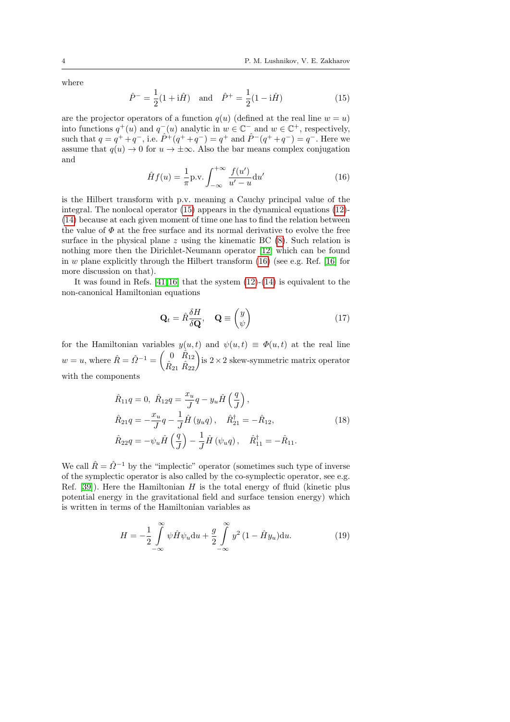where

<span id="page-3-0"></span>
$$
\hat{P}^- = \frac{1}{2}(1 + i\hat{H})
$$
 and  $\hat{P}^+ = \frac{1}{2}(1 - i\hat{H})$  (15)

are the projector operators of a function  $q(u)$  (defined at the real line  $w = u$ ) into functions  $q^+(u)$  and  $q^-(u)$  analytic in  $w \in \mathbb{C}^-$  and  $w \in \mathbb{C}^+$ , respectively, such that  $q = q^+ + q^-$ , i.e.  $\hat{P}^+(q^+ + q^-) = q^+$  and  $\hat{P}^-(q^+ + q^-) = q^-$ . Here we assume that  $q(u) \to 0$  for  $u \to \pm \infty$ . Also the bar means complex conjugation and

<span id="page-3-1"></span>
$$
\hat{H}f(u) = \frac{1}{\pi} \text{p.v.} \int_{-\infty}^{+\infty} \frac{f(u')}{u' - u} \, \mathrm{d}u' \tag{16}
$$

is the Hilbert transform with p.v. meaning a Cauchy principal value of the integral. The nonlocal operator [\(15\)](#page-3-0) appears in the dynamical equations [\(12\)](#page-2-2)- [\(14\)](#page-2-3) because at each given moment of time one has to find the relation between the value of  $\Phi$  at the free surface and its normal derivative to evolve the free surface in the physical plane  $z$  using the kinematic BC  $(8)$ . Such relation is nothing more then the Dirichlet-Neumann operator [\[12\]](#page-14-8) which can be found in w plane explicitly through the Hilbert transform  $(16)$  (see e.g. Ref. [\[16\]](#page-14-6) for more discussion on that).

It was found in Refs.  $[41, 16]$  $[41, 16]$  that the system  $(12)-(14)$  $(12)-(14)$  $(12)-(14)$  is equivalent to the non-canonical Hamiltonian equations

<span id="page-3-2"></span>
$$
\mathbf{Q}_t = \hat{R}\frac{\delta H}{\delta \mathbf{Q}}, \quad \mathbf{Q} \equiv \begin{pmatrix} y \\ \psi \end{pmatrix} \tag{17}
$$

for the Hamiltonian variables  $y(u, t)$  and  $\psi(u, t) \equiv \Phi(u, t)$  at the real line  $w = u$ , where  $\hat{R} = \hat{Q}^{-1} = \begin{pmatrix} 0 & \hat{R}_{12} \\ \hat{R}_{21} & \hat{R}_{22} \end{pmatrix}$  is  $2 \times 2$  skew-symmetric matrix operator with the components

$$
\hat{R}_{11}q = 0, \ \hat{R}_{12}q = \frac{x_u}{J}q - y_u \hat{H}\left(\frac{q}{J}\right),\n\hat{R}_{21}q = -\frac{x_u}{J}q - \frac{1}{J}\hat{H}(y_uq), \quad \hat{R}_{21}^{\dagger} = -\hat{R}_{12},\n\hat{R}_{22}q = -\psi_u \hat{H}\left(\frac{q}{J}\right) - \frac{1}{J}\hat{H}(\psi_uq), \quad \hat{R}_{11}^{\dagger} = -\hat{R}_{11}.
$$
\n(18)

We call  $\hat{R} = \hat{Q}^{-1}$  by the "implectic" operator (sometimes such type of inverse of the symplectic operator is also called by the co-symplectic operator, see e.g. Ref.  $[39]$ ). Here the Hamiltonian H is the total energy of fluid (kinetic plus potential energy in the gravitational field and surface tension energy) which is written in terms of the Hamiltonian variables as

<span id="page-3-3"></span>
$$
H = -\frac{1}{2} \int_{-\infty}^{\infty} \psi \hat{H} \psi_u \mathrm{d}u + \frac{g}{2} \int_{-\infty}^{\infty} y^2 (1 - \hat{H} y_u) \mathrm{d}u.
$$
 (19)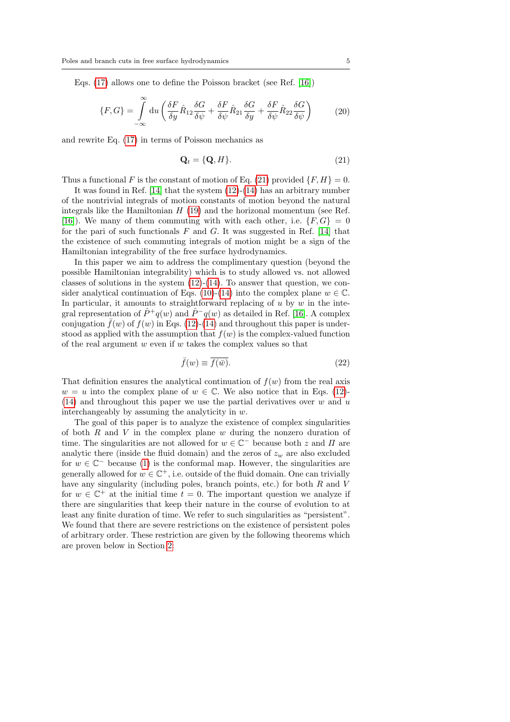Eqs. [\(17\)](#page-3-2) allows one to define the Poisson bracket (see Ref. [\[16\]](#page-14-6))

$$
\{F, G\} = \int_{-\infty}^{\infty} du \left( \frac{\delta F}{\delta y} \hat{R}_{12} \frac{\delta G}{\delta \psi} + \frac{\delta F}{\delta \psi} \hat{R}_{21} \frac{\delta G}{\delta y} + \frac{\delta F}{\delta \psi} \hat{R}_{22} \frac{\delta G}{\delta \psi} \right) \tag{20}
$$

<span id="page-4-0"></span>and rewrite Eq. [\(17\)](#page-3-2) in terms of Poisson mechanics as

$$
\mathbf{Q}_t = \{\mathbf{Q}, H\}. \tag{21}
$$

Thus a functional F is the constant of motion of Eq. [\(21\)](#page-4-0) provided  $\{F, H\} = 0$ .

It was found in Ref. [\[14\]](#page-14-9) that the system [\(12\)](#page-2-2)-[\(14\)](#page-2-3) has an arbitrary number of the nontrivial integrals of motion constants of motion beyond the natural integrals like the Hamiltonian  $H(19)$  $H(19)$  and the horizonal momentum (see Ref. [\[16\]](#page-14-6)). We many of them commuting with with each other, i.e.  $\{F, G\} = 0$ for the pari of such functionals  $F$  and  $G$ . It was suggested in Ref. [\[14\]](#page-14-9) that the existence of such commuting integrals of motion might be a sign of the Hamiltonian integrability of the free surface hydrodynamics.

In this paper we aim to address the complimentary question (beyond the possible Hamiltonian integrability) which is to study allowed vs. not allowed classes of solutions in the system  $(12)-(14)$  $(12)-(14)$  $(12)-(14)$ . To answer that question, we con-sider analytical continuation of Eqs. [\(10\)](#page-2-4)-[\(14\)](#page-2-3) into the complex plane  $w \in \mathbb{C}$ . In particular, it amounts to straightforward replacing of  $u$  by  $w$  in the integral representation of  $\hat{P}^+q(w)$  and  $\hat{P}^-q(w)$  as detailed in Ref. [\[16\]](#page-14-6). A complex conjugation  $\bar{f}(w)$  of  $f(w)$  in Eqs. [\(12\)](#page-2-2)-[\(14\)](#page-2-3) and throughout this paper is understood as applied with the assumption that  $f(w)$  is the complex-valued function of the real argument  $w$  even if  $w$  takes the complex values so that

<span id="page-4-1"></span>
$$
\bar{f}(w) \equiv \overline{f(\bar{w})}.
$$
\n(22)

That definition ensures the analytical continuation of  $f(w)$  from the real axis  $w = u$  into the complex plane of  $w \in \mathbb{C}$ . We also notice that in Eqs. [\(12\)](#page-2-2)-[\(14\)](#page-2-3) and throughout this paper we use the partial derivatives over  $w$  and  $u$ interchangeably by assuming the analyticity in  $w$ .

The goal of this paper is to analyze the existence of complex singularities of both  $R$  and  $V$  in the complex plane  $w$  during the nonzero duration of time. The singularities are not allowed for  $w \in \mathbb{C}^-$  because both z and  $\Pi$  are analytic there (inside the fluid domain) and the zeros of  $z_w$  are also excluded for  $w \in \mathbb{C}^-$  because [\(1\)](#page-1-1) is the conformal map. However, the singularities are generally allowed for  $w \in \mathbb{C}^+$ , i.e. outside of the fluid domain. One can trivially have any singularity (including poles, branch points, etc.) for both  $R$  and  $V$ for  $w \in \mathbb{C}^+$  at the initial time  $t = 0$ . The important question we analyze if there are singularities that keep their nature in the course of evolution to at least any finite duration of time. We refer to such singularities as "persistent". We found that there are severe restrictions on the existence of persistent poles of arbitrary order. These restriction are given by the following theorems which are proven below in Section [2:](#page-7-0)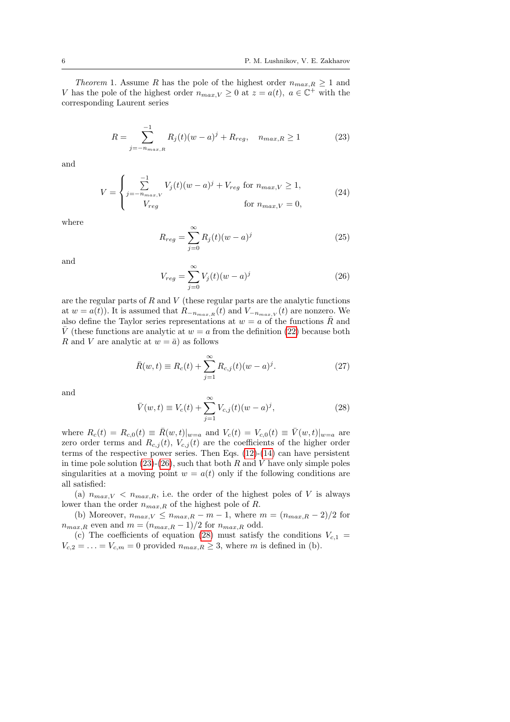Theorem 1. Assume R has the pole of the highest order  $n_{max,R} \geq 1$  and V has the pole of the highest order  $n_{max,V} \geq 0$  at  $z = a(t)$ ,  $a \in \mathbb{C}^+$  with the corresponding Laurent series

$$
R = \sum_{j=-n_{max,R}}^{-1} R_j(t)(w-a)^j + R_{reg}, \quad n_{max,R} \ge 1
$$
 (23)

and

$$
V = \begin{cases} \sum_{j=-n_{max,V}}^{-1} V_j(t)(w-a)^j + V_{reg} \text{ for } n_{max,V} \ge 1, \\ V_{reg} \text{ for } n_{max,V} = 0, \end{cases}
$$
 (24)

where

<span id="page-5-4"></span><span id="page-5-0"></span>
$$
R_{reg} = \sum_{j=0}^{\infty} R_j(t)(w-a)^j
$$
\n(25)

and

<span id="page-5-1"></span>
$$
V_{reg} = \sum_{j=0}^{\infty} V_j(t)(w-a)^j
$$
\n(26)

are the regular parts of  $R$  and  $V$  (these regular parts are the analytic functions at  $w = a(t)$ . It is assumed that  $R_{-n_{max,R}}(t)$  and  $V_{-n_{max,V}}(t)$  are nonzero. We also define the Taylor series representations at  $w = a$  of the functions  $\overline{R}$  and  $\overline{V}$  (these functions are analytic at  $w = a$  from the definition [\(22\)](#page-4-1) because both R and V are analytic at  $w = \bar{a}$ ) as follows

<span id="page-5-3"></span>
$$
\bar{R}(w,t) \equiv R_c(t) + \sum_{j=1}^{\infty} R_{c,j}(t)(w-a)^j.
$$
 (27)

and

<span id="page-5-2"></span>
$$
\bar{V}(w,t) \equiv V_c(t) + \sum_{j=1}^{\infty} V_{c,j}(t)(w-a)^j,
$$
\n(28)

where  $R_c(t) = R_{c,0}(t) \equiv \bar{R}(w,t)|_{w=a}$  and  $V_c(t) = V_{c,0}(t) \equiv \bar{V}(w,t)|_{w=a}$  are zero order terms and  $R_{c,j}(t)$ ,  $V_{c,j}(t)$  are the coefficients of the higher order terms of the respective power series. Then Eqs. [\(12\)](#page-2-2)-[\(14\)](#page-2-3) can have persistent in time pole solution  $(23)-(26)$  $(23)-(26)$  $(23)-(26)$ , such that both R and V have only simple poles singularities at a moving point  $w = a(t)$  only if the following conditions are all satisfied:

(a)  $n_{max,V}$  <  $n_{max,R}$ , i.e. the order of the highest poles of V is always lower than the order  $n_{max,R}$  of the highest pole of  $R$ 

(b) Moreover,  $n_{max,V} \leq n_{max,R} - m - 1$ , where  $m = (n_{max,R} - 2)/2$  for  $n_{max,R}$  even and  $m = (n_{max,R} - 1)/2$  for  $n_{max,R}$  odd.

(c) The coefficients of equation [\(28\)](#page-5-2) must satisfy the conditions  $V_{c,1}$  =  $V_{c,2} = \ldots = V_{c,m} = 0$  provided  $n_{max,R} \geq 3$ , where m is defined in (b).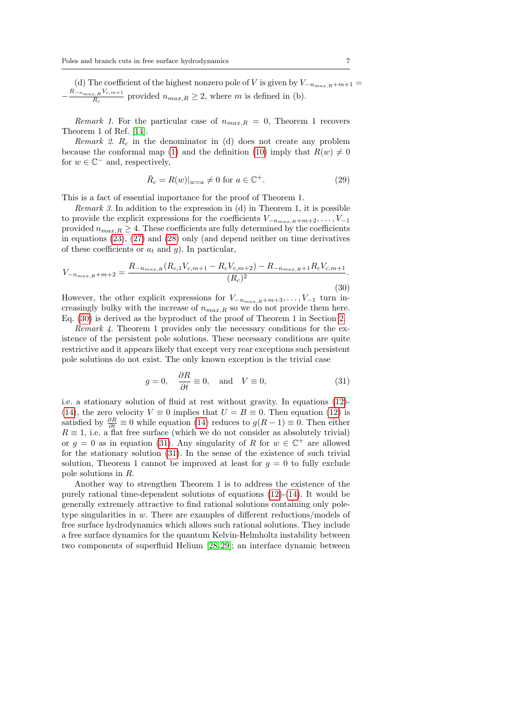(d) The coefficient of the highest nonzero pole of V is given by  $V_{-n_{max,R}+m+1}$  =  $-\frac{R_{-n_{max,R}}V_{c,m+1}}{R}$  $\frac{n_R}{R_c}$  provided  $n_{max,R} \geq 2$ , where m is defined in (b).

Remark 1. For the particular case of  $n_{max,R} = 0$ , Theorem 1 recovers Theorem 1 of Ref. [\[14\]](#page-14-9).

Remark 2.  $R_c$  in the denominator in (d) does not create any problem because the conformal map [\(1\)](#page-1-1) and the definition [\(10\)](#page-2-4) imply that  $R(w) \neq 0$ for  $w \in \mathbb{C}^-$  and, respectively,

<span id="page-6-2"></span>
$$
\bar{R}_c = R(w)|_{w=a} \neq 0 \text{ for } a \in \mathbb{C}^+. \tag{29}
$$

This is a fact of essential importance for the proof of Theorem 1.

Remark 3. In addition to the expression in (d) in Theorem 1, it is possible to provide the explicit expressions for the coefficients  $V_{-n_{max,R}+m+2}, \ldots, V_{-1}$ provided  $n_{max,R} \geq 4$ . These coefficients are fully determined by the coefficients in equations [\(23\)](#page-5-0), [\(27\)](#page-5-3) and [\(28\)](#page-5-2) only (and depend neither on time derivatives of these coefficients or  $a_t$  and g). In particular,

<span id="page-6-0"></span>
$$
V_{-n_{max,R}+m+2} = \frac{R_{-n_{max,R}}(R_{c,1}V_{c,m+1} - R_cV_{c,m+2}) - R_{-n_{max,R}+1}R_cV_{c,m+1}}{(R_c)^2}.
$$
\n(30)

However, the other explicit expressions for  $V_{-n_{max,R}+m+3}, \ldots, V_{-1}$  turn increasingly bulky with the increase of  $n_{max,R}$  so we do not provide them here. Eq. [\(30\)](#page-6-0) is derived as the byproduct of the proof of Theorem 1 in Section [2.](#page-7-0)

Remark 4. Theorem 1 provides only the necessary conditions for the existence of the persistent pole solutions. These necessary conditions are quite restrictive and it appears likely that except very rear exceptions such persistent pole solutions do not exist. The only known exception is the trivial case

<span id="page-6-1"></span>
$$
g = 0, \quad \frac{\partial R}{\partial t} \equiv 0, \quad \text{and} \quad V \equiv 0,
$$
\n(31)

i.e. a stationary solution of fluid at rest without gravity. In equations [\(12\)](#page-2-2)- [\(14\)](#page-2-3), the zero velocity  $V \equiv 0$  implies that  $U = B \equiv 0$ . Then equation [\(12\)](#page-2-2) is satisfied by  $\frac{\partial R}{\partial t} \equiv 0$  while equation [\(14\)](#page-2-3) reduces to  $g(R-1) \equiv 0$ . Then either  $R \equiv 1$ , i.e. a flat free surface (which we do not consider as absolutely trivial) or  $g = 0$  as in equation [\(31\)](#page-6-1). Any singularity of R for  $w \in \mathbb{C}^+$  are allowed for the stationary solution [\(31\)](#page-6-1). In the sense of the existence of such trivial solution, Theorem 1 cannot be improved at least for  $g = 0$  to fully exclude pole solutions in R.

Another way to strengthen Theorem 1 is to address the existence of the purely rational time-dependent solutions of equations [\(12\)](#page-2-2)-[\(14\)](#page-2-3). It would be generally extremely attractive to find rational solutions containing only poletype singularities in w. There are examples of different reductions/models of free surface hydrodynamics which allows such rational solutions. They include a free surface dynamics for the quantum Kelvin-Helmholtz instability between two components of superfluid Helium [\[28,](#page-14-10) [29\]](#page-14-11); an interface dynamic between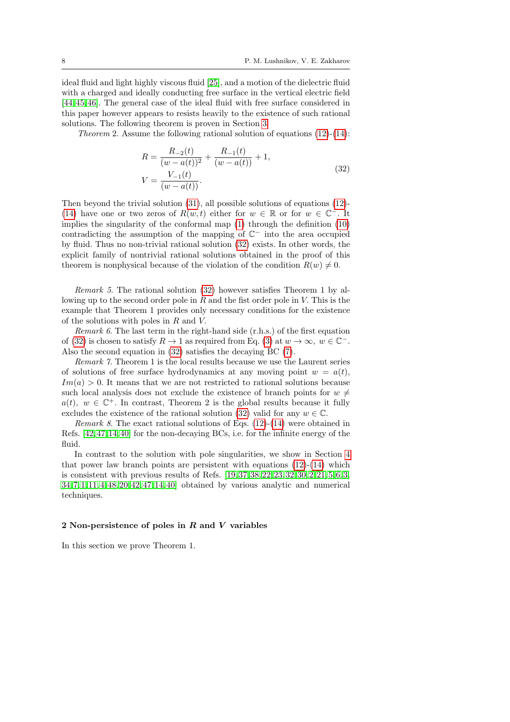ideal fluid and light highly viscous fluid [\[25\]](#page-14-12), and a motion of the dielectric fluid with a charged and ideally conducting free surface in the vertical electric field [\[44,](#page-15-6) [45,](#page-15-7) [46\]](#page-15-8). The general case of the ideal fluid with free surface considered in this paper however appears to resists heavily to the existence of such rational solutions. The following theorem is proven in Section [3:](#page-10-0)

<span id="page-7-1"></span>*Theorem* 2. Assume the following rational solution of equations  $(12)-(14)$  $(12)-(14)$  $(12)-(14)$ :

$$
R = \frac{R_{-2}(t)}{(w - a(t))^{2}} + \frac{R_{-1}(t)}{(w - a(t))} + 1,
$$
  
\n
$$
V = \frac{V_{-1}(t)}{(w - a(t))}.
$$
\n(32)

Then beyond the trivial solution [\(31\)](#page-6-1), all possible solutions of equations [\(12\)](#page-2-2)- [\(14\)](#page-2-3) have one or two zeros of  $R(w,t)$  either for  $w \in \mathbb{R}$  or for  $w \in \mathbb{C}$ . It implies the singularity of the conformal map [\(1\)](#page-1-1) through the definition [\(10\)](#page-2-4) contradicting the assumption of the mapping of  $\mathbb{C}^-$  into the area occupied by fluid. Thus no non-trivial rational solution [\(32\)](#page-7-1) exists. In other words, the explicit family of nontrivial rational solutions obtained in the proof of this theorem is nonphysical because of the violation of the condition  $R(w) \neq 0$ .

Remark 5. The rational solution [\(32\)](#page-7-1) however satisfies Theorem 1 by allowing up to the second order pole in  $R$  and the fist order pole in  $V$ . This is the example that Theorem 1 provides only necessary conditions for the existence of the solutions with poles in R and V.

*Remark 6.* The last term in the right-hand side  $(r.h.s.)$  of the first equation of [\(32\)](#page-7-1) is chosen to satisfy  $R \to 1$  as required from Eq. [\(3\)](#page-1-5) at  $w \to \infty$ ,  $w \in \mathbb{C}^-$ . Also the second equation in [\(32\)](#page-7-1) satisfies the decaying BC [\(7\)](#page-1-6).

Remark 7. Theorem 1 is the local results because we use the Laurent series of solutions of free surface hydrodynamics at any moving point  $w = a(t)$ ,  $Im(a) > 0$ . It means that we are not restricted to rational solutions because such local analysis does not exclude the existence of branch points for  $w \neq$  $a(t)$ ,  $w \in \mathbb{C}^+$ . In contrast, Theorem 2 is the global results because it fully excludes the existence of the rational solution [\(32\)](#page-7-1) valid for any  $w \in \mathbb{C}$ .

*Remark 8.* The exact rational solutions of Eqs.  $(12)-(14)$  $(12)-(14)$  $(12)-(14)$  were obtained in Refs. [\[42,](#page-15-9) [47,](#page-15-10) [14,](#page-14-9) [40\]](#page-15-11) for the non-decaying BCs, i.e. for the infinite energy of the fluid.

In contrast to the solution with pole singularities, we show in Section [4](#page-12-0) that power law branch points are persistent with equations  $(12)-(14)$  $(12)-(14)$  $(12)-(14)$  which is consistent with previous results of Refs. [\[19,](#page-14-13) [37,](#page-15-1) [38,](#page-15-2) [22,](#page-14-14) [23,](#page-14-15) [32,](#page-15-12) [30,](#page-14-16) [2,](#page-13-0) [21,](#page-14-17) [5,](#page-13-1) [6,](#page-13-2) [3,](#page-13-3) [34,](#page-15-13) [7,](#page-14-18) [1,](#page-13-4) [11,](#page-14-19) [4,](#page-13-5) [48,](#page-15-14) [20,](#page-14-20) [42,](#page-15-9) [47,](#page-15-10) [14,](#page-14-9) [40\]](#page-15-11) obtained by various analytic and numerical techniques.

### <span id="page-7-0"></span>2 Non-persistence of poles in R and V variables

In this section we prove Theorem 1.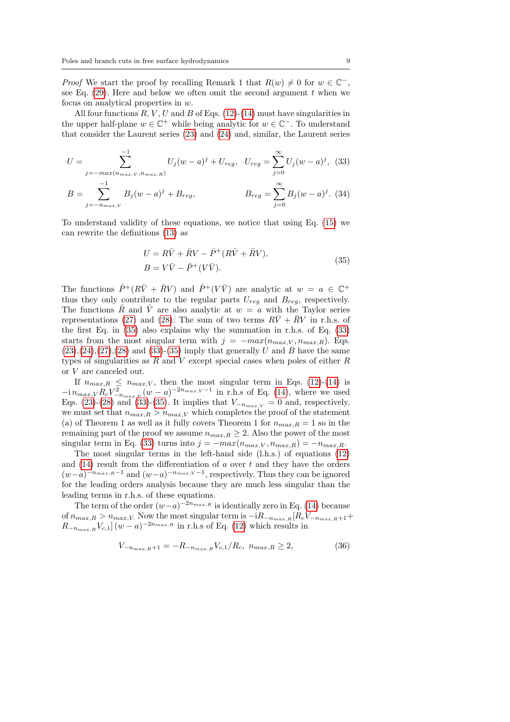*Proof* We start the proof by recalling Remark 1 that  $R(w) \neq 0$  for  $w \in \mathbb{C}^-,$ see Eq.  $(29)$ . Here and below we often omit the second argument t when we focus on analytical properties in w.

All four functions  $R, V, U$  and  $B$  of Eqs. [\(12\)](#page-2-2)-[\(14\)](#page-2-3) must have singularities in the upper half-plane  $w \in \mathbb{C}^+$  while being analytic for  $w \in \mathbb{C}^-$ . To understand that consider the Laurent series [\(23\)](#page-5-0) and [\(24\)](#page-5-4) and, similar, the Laurent series

$$
U = \sum_{j=-\max(n_{\max,V}, n_{\max,R})}^{-1} U_j(w-a)^j + U_{reg}, \quad U_{reg} = \sum_{j=0}^{\infty} U_j(w-a)^j, \tag{33}
$$

$$
B = \sum_{j=-n_{max,V}}^{-1} B_j(w-a)^j + B_{reg}, \qquad B_{reg} = \sum_{j=0}^{\infty} B_j(w-a)^j. \tag{34}
$$

To understand validity of these equations, we notice that using Eq. [\(15\)](#page-3-0) we can rewrite the definitions [\(13\)](#page-2-5) as

<span id="page-8-1"></span>
$$
U = R\bar{V} + \bar{R}V - \hat{P}^+(R\bar{V} + \bar{R}V),
$$
  
\n
$$
B = V\bar{V} - \hat{P}^+(V\bar{V}).
$$
\n(35)

<span id="page-8-0"></span>The functions  $\hat{P}^+(R\bar{V} + \bar{R}V)$  and  $\hat{P}^+(V\bar{V})$  are analytic at  $w = a \in \mathbb{C}^+$ thus they only contribute to the regular parts  $U_{req}$  and  $B_{req}$ , respectively. The functions R and V are also analytic at  $w = a$  with the Taylor series representations [\(27\)](#page-5-3) and [\(28\)](#page-5-2). The sum of two terms  $R\bar{V} + \bar{R}V$  in r.h.s. of the first Eq. in [\(35\)](#page-8-0) also explains why the summation in r.h.s. of Eq. [\(33\)](#page-8-1) starts from the most singular term with  $j = -max(n_{max,V}, n_{max,R})$ . Eqs.  $(23),(24),(27),(28)$  $(23),(24),(27),(28)$  $(23),(24),(27),(28)$  $(23),(24),(27),(28)$  $(23),(24),(27),(28)$  $(23),(24),(27),(28)$  $(23),(24),(27),(28)$  and  $(33)-(35)$  $(33)-(35)$  $(33)-(35)$  imply that generally U and B have the same types of singularities as  $R$  and  $V$  except special cases when poles of either  $R$ or V are canceled out.

If  $n_{max,R} \leq n_{max,V}$ , then the most singular term in Eqs. [\(12\)](#page-2-2)-[\(14\)](#page-2-3) is  $-i n_{max,V} R_c V_{-n_{max,V}}^2 (w-a)^{-2n_{max,V}-1}$  in r.h.s of Eq. [\(14\)](#page-2-3), where we used Eqs. [\(23\)](#page-5-0)-[\(28\)](#page-5-2) and [\(33\)](#page-8-1)-[\(35\)](#page-8-0). It implies that  $V_{-n_{max,V}} = 0$  and, respectively, we must set that  $n_{max,R} > n_{max,V}$  which completes the proof of the statement (a) of Theorem 1 as well as it fully covers Theorem 1 for  $n_{max,R} = 1$  so in the remaining part of the proof we assume  $n_{max,R} \geq 2$ . Also the power of the most singular term in Eq. [\(33\)](#page-8-1) turns into  $j = -max(n_{max,V}, n_{max,R}) = -n_{max,R}$ .

The most singular terms in the left-hand side (l.h.s.) of equations [\(12\)](#page-2-2) and  $(14)$  result from the differentiation of a over t and they have the orders  $(w-a)^{-n_{max,R}-1}$  and  $(w-a)^{-n_{max,V}-1}$ , respectively. Thus they can be ignored for the leading orders analysis because they are much less singular than the leading terms in r.h.s. of these equations.

The term of the order  $(w-a)^{-2n_{max,R}}$  is identically zero in Eq. [\(14\)](#page-2-3) because of  $n_{max,R} > n_{max,V}$ . Now the most singular term is  $-iR_{-n_{max,R}}[R_cV_{-n_{max,R}+1}+$  $R_{-n_{max,R}}V_{c,1}](w-a)^{-2n_{max,R}}$  in r.h.s of Eq. [\(12\)](#page-2-2) which results in

<span id="page-8-2"></span>
$$
V_{-n_{max,R}+1} = -R_{-n_{max,R}} V_{c,1}/R_c, n_{max,R} \ge 2,
$$
\n(36)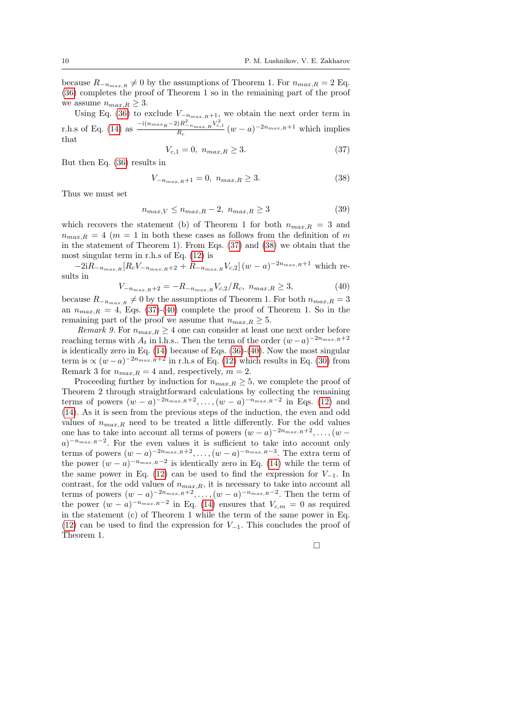because  $R_{-n_{max,R}} \neq 0$  by the assumptions of Theorem 1. For  $n_{max,R} = 2$  Eq. [\(36\)](#page-8-2) completes the proof of Theorem 1 so in the remaining part of the proof we assume  $n_{max,R} \geq 3$ .

Using Eq. [\(36\)](#page-8-2) to exclude  $V_{-n_{max,R}+1}$ , we obtain the next order term in r.h.s of Eq. [\(14\)](#page-2-3) as  $\frac{-i(n_{max_R} - 2)R_{-n_{max,R}}^2 V_{c,1}^2}{R_c} (w - a)^{-2n_{max,R}+1}$  which implies that

<span id="page-9-0"></span>
$$
V_{c,1} = 0, \ n_{max,R} \ge 3. \tag{37}
$$

But then Eq. [\(36\)](#page-8-2) results in

<span id="page-9-1"></span>
$$
V_{-n_{max,R}+1} = 0, \ n_{max,R} \ge 3. \tag{38}
$$

Thus we must set

$$
n_{max,V} \le n_{max,R} - 2, n_{max,R} \ge 3
$$
\n(39)

which recovers the statement (b) of Theorem 1 for both  $n_{max,R} = 3$  and  $n_{max,R} = 4$  ( $m = 1$  in both these cases as follows from the definition of m in the statement of Theorem 1). From Eqs. [\(37\)](#page-9-0) and [\(38\)](#page-9-1) we obtain that the most singular term in r.h.s of Eq. [\(12\)](#page-2-2) is

 $-2iR_{-n_{max,R}}[R_cV_{-n_{max,R}+2}+R_{-n_{max,R}}V_{c,2}](w-a)^{-2n_{max,R}+1}$  which results in

<span id="page-9-2"></span>
$$
V_{-n_{max,R}+2} = -R_{-n_{max,R}} V_{c,2} / R_c, \ n_{max,R} \ge 3,
$$
\n(40)

because  $R_{-n_{max},R} \neq 0$  by the assumptions of Theorem 1. For both  $n_{max},R} = 3$ an  $n_{max,R} = 4$ , Eqs. [\(37\)](#page-9-0)-[\(40\)](#page-9-2) complete the proof of Theorem 1. So in the remaining part of the proof we assume that  $n_{max,R} \geq 5$ .

Remark 9. For  $n_{max,R} \geq 4$  one can consider at least one next order before reaching terms with  $A_t$  in l.h.s.. Then the term of the order  $(w-a)^{-2n_{max,R}+2}$ is identically zero in Eq.  $(14)$  because of Eqs.  $(36)-(40)$  $(36)-(40)$  $(36)-(40)$ . Now the most singular term is  $\propto (w-a)^{-2n_{max,R}+2}$  in r.h.s of Eq. [\(12\)](#page-2-2) which results in Eq. [\(30\)](#page-6-0) from Remark 3 for  $n_{max,R} = 4$  and, respectively,  $m = 2$ .

Proceeding further by induction for  $n_{max,R} \geq 5$ , we complete the proof of Theorem 2 through straightforward calculations by collecting the remaining terms of powers  $(w - a)^{-2n_{max,R}+2}, \ldots, (w - a)^{-n_{max,R}-2}$  in Eqs. [\(12\)](#page-2-2) and [\(14\)](#page-2-3). As it is seen from the previous steps of the induction, the even and odd values of  $n_{max,R}$  need to be treated a little differently. For the odd values one has to take into account all terms of powers  $(w-a)^{-2n_{max,R}+2}, \ldots, (w-a)^{-2n_{max,R}+2}$  $a)^{-n_{max,R}-2}$ . For the even values it is sufficient to take into account only terms of powers  $(w-a)^{-2n_{max,R}+2}, \ldots, (w-a)^{-n_{max,R}-3}$ . The extra term of the power  $(w-a)^{-n_{max,R}-2}$  is identically zero in Eq. [\(14\)](#page-2-3) while the term of the same power in Eq. [\(12\)](#page-2-2) can be used to find the expression for  $V_{-1}$ . In contrast, for the odd values of  $n_{max,R}$ , it is necessary to take into account all terms of powers  $(w-a)^{-2n_{max,R}+2}, \ldots, (w-a)^{-n_{max,R}-2}$ . Then the term of the power  $(w - a)^{-n_{max,R}-2}$  in Eq. [\(14\)](#page-2-3) ensures that  $V_{c,m} = 0$  as required in the statement (c) of Theorem 1 while the term of the same power in Eq. [\(12\)](#page-2-2) can be used to find the expression for  $V_{-1}$ . This concludes the proof of Theorem 1.

 $\Box$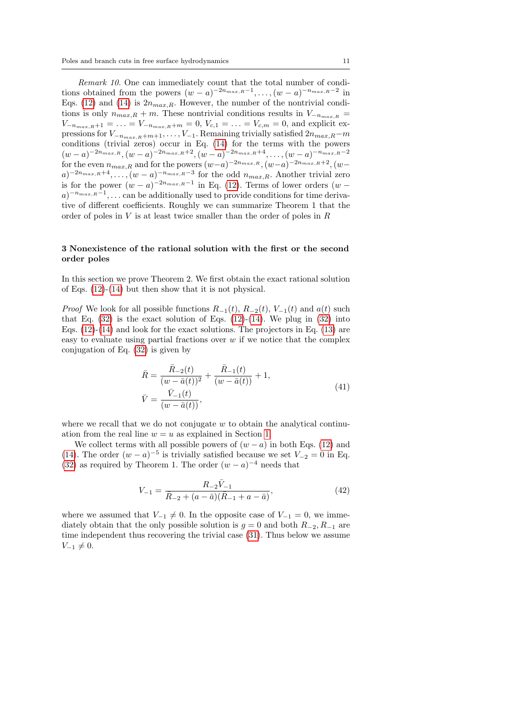Remark 10. One can immediately count that the total number of conditions obtained from the powers  $(w-a)^{-2n_{max,R}-1}, \ldots, (w-a)^{-n_{max,R}-2}$  in Eqs. [\(12\)](#page-2-2) and [\(14\)](#page-2-3) is  $2n_{max,R}$ . However, the number of the nontrivial conditions is only  $n_{max,R} + m$ . These nontrivial conditions results in  $V_{-n_{max,R}} =$  $V_{-n_{max,R}+1} = \ldots = V_{-n_{max,R}+m} = 0, V_{c,1} = \ldots = V_{c,m} = 0$ , and explicit expressions for  $V_{-n_{max,R}+m+1}, \ldots, V_{-1}$ . Remaining trivially satisfied  $2n_{max,R}-m$ conditions (trivial zeros) occur in Eq. [\(14\)](#page-2-3) for the terms with the powers  $(w-a)^{-2n_{max,R}}, (w-a)^{-2n_{max,R}+2}, (w-a)^{-2n_{max,R}+4}, \ldots, (w-a)^{-n_{max,R}-2}$ for the even  $n_{max,R}$  and for the powers  $(w-a)^{-2n_{max,R}}$ ,  $(w-a)^{-2n_{max,R}+2}$ ,  $(w-a)^{-2n_{max,R}+2}$  $a)^{-2n_{max,R}+4}, \ldots, (w-a)^{-n_{max,R}-3}$  for the odd  $n_{max,R}$ . Another trivial zero is for the power  $(w-a)^{-2n_{max,R}-1}$  in Eq. [\(12\)](#page-2-2). Terms of lower orders  $(w - a)^{-2n_{max,R}-1}$  $a)^{-n_{max,R}-1}$ , ... can be additionally used to provide conditions for time derivative of different coefficients. Roughly we can summarize Theorem 1 that the order of poles in  $V$  is at least twice smaller than the order of poles in  $R$ 

## <span id="page-10-0"></span>3 Nonexistence of the rational solution with the first or the second order poles

In this section we prove Theorem 2. We first obtain the exact rational solution of Eqs. [\(12\)](#page-2-2)-[\(14\)](#page-2-3) but then show that it is not physical.

*Proof* We look for all possible functions  $R_{-1}(t)$ ,  $R_{-2}(t)$ ,  $V_{-1}(t)$  and  $a(t)$  such that Eq.  $(32)$  is the exact solution of Eqs.  $(12)-(14)$  $(12)-(14)$  $(12)-(14)$ . We plug in  $(32)$  into Eqs.  $(12)-(14)$  $(12)-(14)$  $(12)-(14)$  and look for the exact solutions. The projectors in Eq.  $(13)$  are easy to evaluate using partial fractions over  $w$  if we notice that the complex conjugation of Eq. [\(32\)](#page-7-1) is given by

$$
\bar{R} = \frac{\bar{R}_{-2}(t)}{(w - \bar{a}(t))^{2}} + \frac{\bar{R}_{-1}(t)}{(w - \bar{a}(t))} + 1,
$$
\n
$$
\bar{V} = \frac{\bar{V}_{-1}(t)}{(w - \bar{a}(t))},
$$
\n(41)

where we recall that we do not conjugate  $w$  to obtain the analytical continuation from the real line  $w = u$  as explained in Section [1.](#page-0-0)

We collect terms with all possible powers of  $(w - a)$  in both Eqs. [\(12\)](#page-2-2) and [\(14\)](#page-2-3). The order  $(w - a)^{-5}$  is trivially satisfied because we set  $V_{-2} = 0$  in Eq. [\(32\)](#page-7-1) as required by Theorem 1. The order  $(w-a)^{-4}$  needs that

<span id="page-10-1"></span>
$$
V_{-1} = \frac{R_{-2}\bar{V}_{-1}}{\bar{R}_{-2} + (a - \bar{a})(\bar{R}_{-1} + a - \bar{a})},\tag{42}
$$

where we assumed that  $V_{-1} \neq 0$ . In the opposite case of  $V_{-1} = 0$ , we immediately obtain that the only possible solution is  $g = 0$  and both  $R_{-2}, R_{-1}$  are time independent thus recovering the trivial case [\(31\)](#page-6-1). Thus below we assume  $V_{-1} \neq 0.$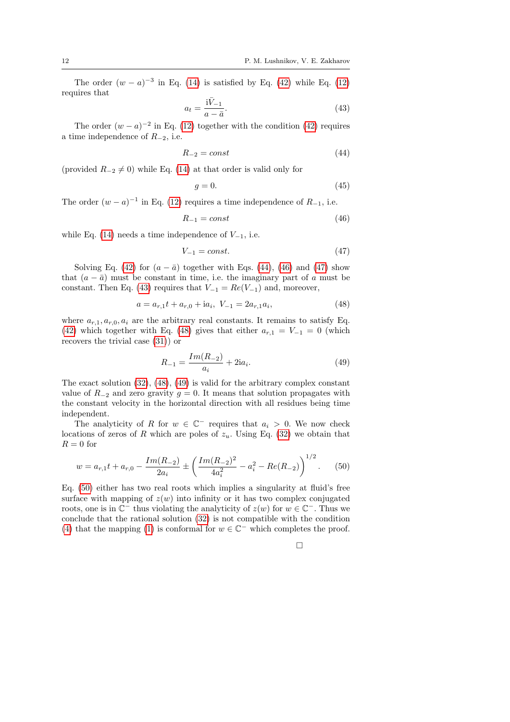The order  $(w - a)^{-3}$  in Eq. [\(14\)](#page-2-3) is satisfied by Eq. [\(42\)](#page-10-1) while Eq. [\(12\)](#page-2-2) requires that

<span id="page-11-3"></span>
$$
a_t = \frac{\mathrm{i}\bar{V}_{-1}}{a - \bar{a}}.\tag{43}
$$

The order  $(w-a)^{-2}$  in Eq. [\(12\)](#page-2-2) together with the condition [\(42\)](#page-10-1) requires a time independence of  $R_{-2}$ , i.e.

<span id="page-11-0"></span>
$$
R_{-2} = const \tag{44}
$$

(provided  $R_{-2} \neq 0$ ) while Eq. [\(14\)](#page-2-3) at that order is valid only for

$$
g = 0.\t\t(45)
$$

The order  $(w - a)^{-1}$  in Eq. [\(12\)](#page-2-2) requires a time independence of  $R_{-1}$ , i.e.

<span id="page-11-1"></span>
$$
R_{-1} = const \tag{46}
$$

while Eq. [\(14\)](#page-2-3) needs a time independence of  $V_{-1}$ , i.e.

<span id="page-11-2"></span>
$$
V_{-1} = const.
$$
\n<sup>(47)</sup>

Solving Eq. [\(42\)](#page-10-1) for  $(a - \bar{a})$  together with Eqs. [\(44\)](#page-11-0), [\(46\)](#page-11-1) and [\(47\)](#page-11-2) show that  $(a - \bar{a})$  must be constant in time, i.e. the imaginary part of a must be constant. Then Eq. [\(43\)](#page-11-3) requires that  $V_{-1} = Re(V_{-1})$  and, moreover,

<span id="page-11-4"></span>
$$
a = a_{r,1}t + a_{r,0} + ia_i, \ V_{-1} = 2a_{r,1}a_i,
$$
\n(48)

where  $a_{r,1}, a_{r,0}, a_i$  are the arbitrary real constants. It remains to satisfy Eq. [\(42\)](#page-10-1) which together with Eq. [\(48\)](#page-11-4) gives that either  $a_{r,1} = V_{-1} = 0$  (which recovers the trivial case [\(31\)](#page-6-1)) or

<span id="page-11-5"></span>
$$
R_{-1} = \frac{Im(R_{-2})}{a_i} + 2ia_i.
$$
 (49)

The exact solution [\(32\)](#page-7-1), [\(48\)](#page-11-4), [\(49\)](#page-11-5) is valid for the arbitrary complex constant value of  $R_{-2}$  and zero gravity  $g = 0$ . It means that solution propagates with the constant velocity in the horizontal direction with all residues being time independent.

The analyticity of R for  $w \in \mathbb{C}^-$  requires that  $a_i > 0$ . We now check locations of zeros of R which are poles of  $z_u$ . Using Eq. [\(32\)](#page-7-1) we obtain that  $R = 0$  for

<span id="page-11-6"></span>
$$
w = a_{r,1}t + a_{r,0} - \frac{Im(R_{-2})}{2a_i} \pm \left(\frac{Im(R_{-2})^2}{4a_i^2} - a_i^2 - Re(R_{-2})\right)^{1/2}.
$$
 (50)

Eq. [\(50\)](#page-11-6) either has two real roots which implies a singularity at fluid's free surface with mapping of  $z(w)$  into infinity or it has two complex conjugated roots, one is in  $\mathbb{C}^-$  thus violating the analyticity of  $z(w)$  for  $w \in \mathbb{C}^-$ . Thus we conclude that the rational solution [\(32\)](#page-7-1) is not compatible with the condition [\(4\)](#page-1-7) that the mapping [\(1\)](#page-1-1) is conformal for  $w \in \mathbb{C}^-$  which completes the proof.

 $\Box$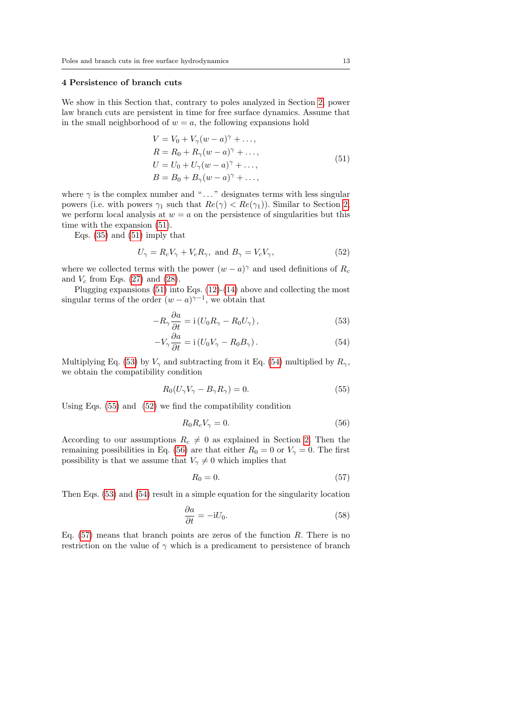## <span id="page-12-0"></span>4 Persistence of branch cuts

We show in this Section that, contrary to poles analyzed in Section [2,](#page-7-0) power law branch cuts are persistent in time for free surface dynamics. Assume that in the small neighborhood of  $w = a$ , the following expansions hold

$$
V = V_0 + V_\gamma (w - a)^\gamma + \dots,
$$
  
\n
$$
R = R_0 + R_\gamma (w - a)^\gamma + \dots,
$$
  
\n
$$
U = U_0 + U_\gamma (w - a)^\gamma + \dots,
$$
  
\n
$$
B = B_0 + B_\gamma (w - a)^\gamma + \dots,
$$
  
\n(51)

<span id="page-12-1"></span>where  $\gamma$  is the complex number and "..." designates terms with less singular powers (i.e. with powers  $\gamma_1$  such that  $Re(\gamma) < Re(\gamma_1)$ ). Similar to Section [2,](#page-7-0) we perform local analysis at  $w = a$  on the persistence of singularities but this time with the expansion [\(51\)](#page-12-1).

Eqs. [\(35\)](#page-8-0) and [\(51\)](#page-12-1) imply that

$$
U_{\gamma} = R_c V_{\gamma} + V_c R_{\gamma}, \text{ and } B_{\gamma} = V_c V_{\gamma}, \qquad (52)
$$

where we collected terms with the power  $(w - a)^{\gamma}$  and used definitions of  $R_c$ and  $V_c$  from Eqs. [\(27\)](#page-5-3) and [\(28\)](#page-5-2).

Plugging expansions [\(51\)](#page-12-1) into Eqs. [\(12\)](#page-2-2)-[\(14\)](#page-2-3) above and collecting the most singular terms of the order  $(w - a)^{\gamma - 1}$ , we obtain that

<span id="page-12-5"></span>
$$
-R_{\gamma} \frac{\partial a}{\partial t} = i \left( U_0 R_{\gamma} - R_0 U_{\gamma} \right), \qquad (53)
$$

<span id="page-12-2"></span>
$$
-V_{\gamma} \frac{\partial a}{\partial t} = \mathrm{i} \left( U_0 V_{\gamma} - R_0 B_{\gamma} \right). \tag{54}
$$

Multiplying Eq. [\(53\)](#page-12-2) by  $V_{\gamma}$  and subtracting from it Eq. [\(54\)](#page-12-3) multiplied by  $R_{\gamma}$ , we obtain the compatibility condition

$$
R_0(U_\gamma V_\gamma - B_\gamma R_\gamma) = 0. \tag{55}
$$

Using Eqs. [\(55\)](#page-12-4) and [\(52\)](#page-12-5) we find the compatibility condition

<span id="page-12-6"></span><span id="page-12-4"></span><span id="page-12-3"></span>
$$
R_0 R_c V_\gamma = 0. \tag{56}
$$

According to our assumptions  $R_c \neq 0$  as explained in Section [2.](#page-7-0) Then the remaining possibilities in Eq. [\(56\)](#page-12-6) are that either  $R_0 = 0$  or  $V_\gamma = 0$ . The first possibility is that we assume that  $V_{\gamma} \neq 0$  which implies that

<span id="page-12-7"></span>
$$
R_0 = 0.\t\t(57)
$$

Then Eqs. [\(53\)](#page-12-2) and [\(54\)](#page-12-3) result in a simple equation for the singularity location

$$
\frac{\partial a}{\partial t} = -iU_0.
$$
\n(58)

Eq.  $(57)$  means that branch points are zeros of the function R. There is no restriction on the value of  $\gamma$  which is a predicament to persistence of branch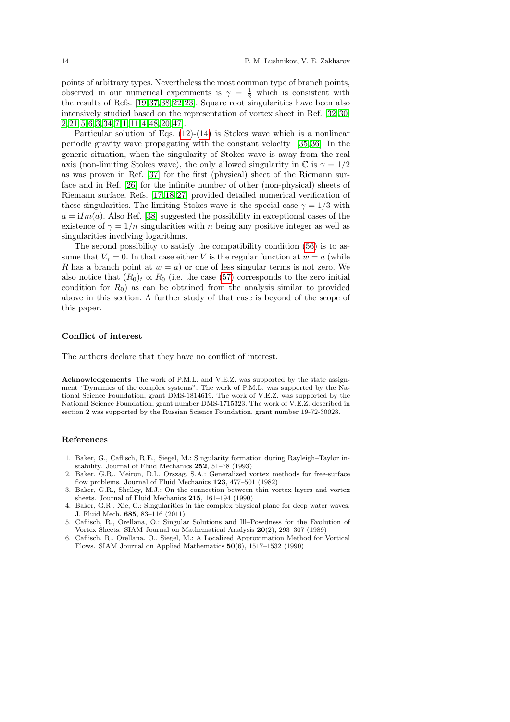points of arbitrary types. Nevertheless the most common type of branch points, observed in our numerical experiments is  $\gamma = \frac{1}{2}$  which is consistent with the results of Refs. [\[19,](#page-14-13) [37,](#page-15-1) [38,](#page-15-2) [22,](#page-14-14) [23\]](#page-14-15). Square root singularities have been also intensively studied based on the representation of vortex sheet in Ref. [\[32,](#page-15-12) [30,](#page-14-16) [2,](#page-13-0) [21,](#page-14-17) [5,](#page-13-1) [6,](#page-13-2) [3,](#page-13-3) [34,](#page-15-13) [7,](#page-14-18) [1,](#page-13-4) [11,](#page-14-19) [4,](#page-13-5) [48,](#page-15-14) [20,](#page-14-20) [47\]](#page-15-10).

Particular solution of Eqs. [\(12\)](#page-2-2)-[\(14\)](#page-2-3) is Stokes wave which is a nonlinear periodic gravity wave propagating with the constant velocity [\[35,](#page-15-15) [36\]](#page-15-16). In the generic situation, when the singularity of Stokes wave is away from the real axis (non-limiting Stokes wave), the only allowed singularity in  $\mathbb C$  is  $\gamma = 1/2$ as was proven in Ref. [\[37\]](#page-15-1) for the first (physical) sheet of the Riemann surface and in Ref. [\[26\]](#page-14-21) for the infinite number of other (non-physical) sheets of Riemann surface. Refs. [\[17,](#page-14-22) [18,](#page-14-23) [27\]](#page-14-24) provided detailed numerical verification of these singularities. The limiting Stokes wave is the special case  $\gamma = 1/3$  with  $a = iIm(a)$ . Also Ref. [\[38\]](#page-15-2) suggested the possibility in exceptional cases of the existence of  $\gamma = 1/n$  singularities with n being any positive integer as well as singularities involving logarithms.

The second possibility to satisfy the compatibility condition [\(56\)](#page-12-6) is to assume that  $V_{\gamma} = 0$ . In that case either V is the regular function at  $w = a$  (while R has a branch point at  $w = a$ ) or one of less singular terms is not zero. We also notice that  $(R_0)_t \propto R_0$  (i.e. the case [\(57\)](#page-12-7) corresponds to the zero initial condition for  $R_0$ ) as can be obtained from the analysis similar to provided above in this section. A further study of that case is beyond of the scope of this paper.

### Conflict of interest

The authors declare that they have no conflict of interest.

Acknowledgements The work of P.M.L. and V.E.Z. was supported by the state assignment "Dynamics of the complex systems". The work of P.M.L. was supported by the National Science Foundation, grant DMS-1814619. The work of V.E.Z. was supported by the National Science Foundation, grant number DMS-1715323. The work of V.E.Z. described in section 2 was supported by the Russian Science Foundation, grant number 19-72-30028.

#### References

- <span id="page-13-4"></span>1. Baker, G., Caflisch, R.E., Siegel, M.: Singularity formation during Rayleigh–Taylor instability. Journal of Fluid Mechanics 252, 51–78 (1993)
- <span id="page-13-0"></span>2. Baker, G.R., Meiron, D.I., Orszag, S.A.: Generalized vortex methods for free-surface flow problems. Journal of Fluid Mechanics 123, 477-501 (1982)
- <span id="page-13-3"></span>3. Baker, G.R., Shelley, M.J.: On the connection between thin vortex layers and vortex sheets. Journal of Fluid Mechanics 215, 161–194 (1990)
- <span id="page-13-5"></span>4. Baker, G.R., Xie, C.: Singularities in the complex physical plane for deep water waves. J. Fluid Mech. 685, 83–116 (2011)
- <span id="page-13-1"></span>5. Caflisch, R., Orellana, O.: Singular Solutions and Ill–Posedness for the Evolution of Vortex Sheets. SIAM Journal on Mathematical Analysis 20(2), 293–307 (1989)
- <span id="page-13-2"></span>6. Caflisch, R., Orellana, O., Siegel, M.: A Localized Approximation Method for Vortical Flows. SIAM Journal on Applied Mathematics 50(6), 1517–1532 (1990)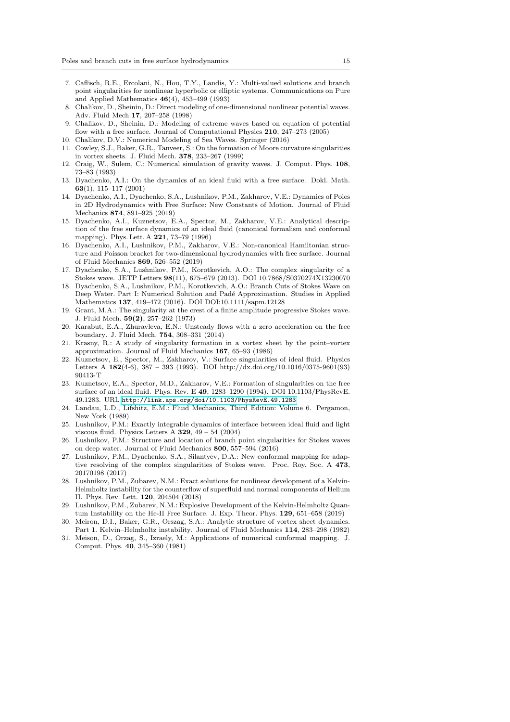- <span id="page-14-18"></span>7. Caflisch, R.E., Ercolani, N., Hou, T.Y., Landis, Y.: Multi-valued solutions and branch point singularities for nonlinear hyperbolic or elliptic systems. Communications on Pure and Applied Mathematics 46(4), 453–499 (1993)
- <span id="page-14-3"></span>8. Chalikov, D., Sheinin, D.: Direct modeling of one-dimensional nonlinear potential waves. Adv. Fluid Mech 17, 207–258 (1998)
- <span id="page-14-4"></span>9. Chalikov, D., Sheinin, D.: Modeling of extreme waves based on equation of potential flow with a free surface. Journal of Computational Physics 210, 247–273 (2005)
- <span id="page-14-5"></span>10. Chalikov, D.V.: Numerical Modeling of Sea Waves. Springer (2016)
- <span id="page-14-19"></span>11. Cowley, S.J., Baker, G.R., Tanveer, S.: On the formation of Moore curvature singularities in vortex sheets. J. Fluid Mech. 378, 233–267 (1999)
- <span id="page-14-8"></span>12. Craig, W., Sulem, C.: Numerical simulation of gravity waves. J. Comput. Phys. 108, 73–83 (1993)
- <span id="page-14-7"></span>13. Dyachenko, A.I.: On the dynamics of an ideal fluid with a free surface. Dokl. Math. 63(1), 115–117 (2001)
- <span id="page-14-9"></span>14. Dyachenko, A.I., Dyachenko, S.A., Lushnikov, P.M., Zakharov, V.E.: Dynamics of Poles in 2D Hydrodynamics with Free Surface: New Constants of Motion. Journal of Fluid Mechanics 874, 891–925 (2019)
- <span id="page-14-2"></span>15. Dyachenko, A.I., Kuznetsov, E.A., Spector, M., Zakharov, V.E.: Analytical description of the free surface dynamics of an ideal fluid (canonical formalism and conformal mapping). Phys. Lett. A 221, 73–79 (1996)
- <span id="page-14-6"></span>16. Dyachenko, A.I., Lushnikov, P.M., Zakharov, V.E.: Non-canonical Hamiltonian structure and Poisson bracket for two-dimensional hydrodynamics with free surface. Journal of Fluid Mechanics 869, 526–552 (2019)
- <span id="page-14-22"></span>17. Dyachenko, S.A., Lushnikov, P.M., Korotkevich, A.O.: The complex singularity of a Stokes wave. JETP Letters 98(11), 675–679 (2013). DOI 10.7868/S0370274X13230070
- <span id="page-14-23"></span>18. Dyachenko, S.A., Lushnikov, P.M., Korotkevich, A.O.: Branch Cuts of Stokes Wave on Deep Water. Part I: Numerical Solution and Padé Approximation. Studies in Applied Mathematics 137, 419–472 (2016). DOI DOI:10.1111/sapm.12128
- <span id="page-14-13"></span>19. Grant, M.A.: The singularity at the crest of a finite amplitude progressive Stokes wave. J. Fluid Mech. 59(2), 257–262 (1973)
- <span id="page-14-20"></span>20. Karabut, E.A., Zhuravleva, E.N.: Unsteady flows with a zero acceleration on the free boundary. J. Fluid Mech. 754, 308–331 (2014)
- <span id="page-14-17"></span>21. Krasny, R.: A study of singularity formation in a vortex sheet by the point–vortex approximation. Journal of Fluid Mechanics 167, 65–93 (1986)
- <span id="page-14-14"></span>22. Kuznetsov, E., Spector, M., Zakharov, V.: Surface singularities of ideal fluid. Physics Letters A  $182(4-6)$ , 387 – 393 (1993). DOI http://dx.doi.org/10.1016/0375-9601(93) 90413-T
- <span id="page-14-15"></span>23. Kuznetsov, E.A., Spector, M.D., Zakharov, V.E.: Formation of singularities on the free surface of an ideal fluid. Phys. Rev. E 49, 1283–1290 (1994). DOI 10.1103/PhysRevE. 49.1283. URL <http://link.aps.org/doi/10.1103/PhysRevE.49.1283>
- <span id="page-14-0"></span>24. Landau, L.D., Lifshitz, E.M.: Fluid Mechanics, Third Edition: Volume 6. Pergamon, New York (1989)
- <span id="page-14-12"></span>25. Lushnikov, P.M.: Exactly integrable dynamics of interface between ideal fluid and light viscous fluid. Physics Letters A  $329$ ,  $49 - 54$  (2004)
- <span id="page-14-21"></span>26. Lushnikov, P.M.: Structure and location of branch point singularities for Stokes waves on deep water. Journal of Fluid Mechanics 800, 557–594 (2016)
- <span id="page-14-24"></span>27. Lushnikov, P.M., Dyachenko, S.A., Silantyev, D.A.: New conformal mapping for adaptive resolving of the complex singularities of Stokes wave. Proc. Roy. Soc. A 473, 20170198 (2017)
- <span id="page-14-10"></span>28. Lushnikov, P.M., Zubarev, N.M.: Exact solutions for nonlinear development of a Kelvin-Helmholtz instability for the counterflow of superfluid and normal components of Helium II. Phys. Rev. Lett. 120, 204504 (2018)
- <span id="page-14-11"></span>29. Lushnikov, P.M., Zubarev, N.M.: Explosive Development of the Kelvin-Helmholtz Quantum Instability on the He-II Free Surface. J. Exp. Theor. Phys. 129, 651–658 (2019)
- <span id="page-14-16"></span>30. Meiron, D.I., Baker, G.R., Orszag, S.A.: Analytic structure of vortex sheet dynamics. Part 1. Kelvin–Helmholtz instability. Journal of Fluid Mechanics 114, 283–298 (1982)
- <span id="page-14-1"></span>31. Meison, D., Orzag, S., Izraely, M.: Applications of numerical conformal mapping. J. Comput. Phys. 40, 345–360 (1981)